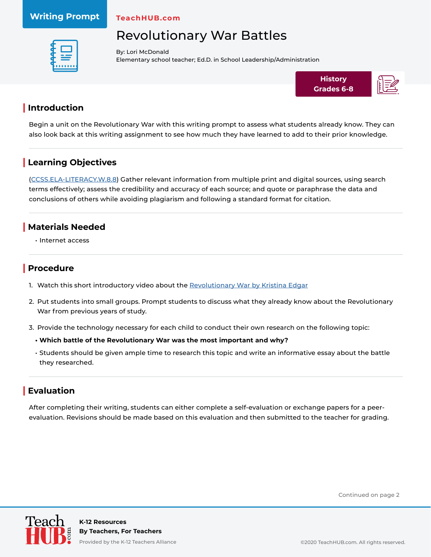#### **Writing Prompt**

**TeachHUB.com**

# Revolutionary War Battles



By: Lori McDonald Elementary school teacher; Ed.D. in School Leadership/Administration



### **| Introduction**

Begin a unit on the Revolutionary War with this writing prompt to assess what students already know. They can also look back at this writing assignment to see how much they have learned to add to their prior knowledge.

## **| Learning Objectives**

[\(CCSS.ELA-LITERACY.W.8.8\)](http://www.corestandards.org/ELA-Literacy/W/8/8/) Gather relevant information from multiple print and digital sources, using search terms effectively; assess the credibility and accuracy of each source; and quote or paraphrase the data and conclusions of others while avoiding plagiarism and following a standard format for citation.

#### **| Materials Needed**

• Internet access

#### **| Procedure**

- 1. Watch this short introductory video about the [Revolutionary War by Kristina Edgar](https://www.youtube.com/watch?time_continue=115&v=rqQfPpz77rk&feature=emb_logo)
- 2. Put students into small groups. Prompt students to discuss what they already know about the Revolutionary War from previous years of study.
- 3. Provide the technology necessary for each child to conduct their own research on the following topic:
	- **• Which battle of the Revolutionary War was the most important and why?**
	- Students should be given ample time to research this topic and write an informative essay about the battle they researched.

### **| Evaluation**

After completing their writing, students can either complete a self-evaluation or exchange papers for a peerevaluation. Revisions should be made based on this evaluation and then submitted to the teacher for grading.

Continued on page 2



Provided by the K-12 Teachers Alliance ©2020 TeachHUB.com. All rights reserved.